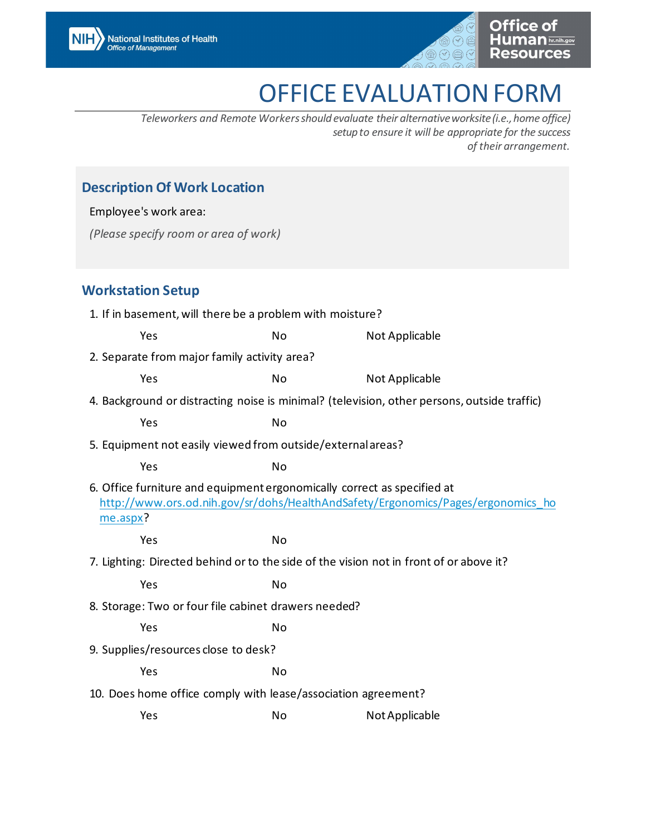

# OFFICE EVALUATION FORM

*Teleworkers and Remote Workersshouldevaluate their alternative worksite (i.e.,home office) setup to ensure it will be appropriate for the success of their arrangement.*

### **Description Of Work Location**

Employee's work area:

*(Please specify room or area of work)*

#### **Workstation Setup**

| 1. If in basement, will there be a problem with moisture?                                                                                                               |    |                |  |  |  |
|-------------------------------------------------------------------------------------------------------------------------------------------------------------------------|----|----------------|--|--|--|
| Yes                                                                                                                                                                     | No | Not Applicable |  |  |  |
| 2. Separate from major family activity area?                                                                                                                            |    |                |  |  |  |
| Yes                                                                                                                                                                     | No | Not Applicable |  |  |  |
| 4. Background or distracting noise is minimal? (television, other persons, outside traffic)                                                                             |    |                |  |  |  |
| Yes                                                                                                                                                                     | No |                |  |  |  |
| 5. Equipment not easily viewed from outside/external areas?                                                                                                             |    |                |  |  |  |
| Yes                                                                                                                                                                     | No |                |  |  |  |
| 6. Office furniture and equipment ergonomically correct as specified at<br>http://www.ors.od.nih.gov/sr/dohs/HealthAndSafety/Ergonomics/Pages/ergonomics ho<br>me.aspx? |    |                |  |  |  |
| Yes                                                                                                                                                                     | No |                |  |  |  |
| 7. Lighting: Directed behind or to the side of the vision not in front of or above it?                                                                                  |    |                |  |  |  |
| Yes                                                                                                                                                                     | No |                |  |  |  |
| 8. Storage: Two or four file cabinet drawers needed?                                                                                                                    |    |                |  |  |  |
| Yes                                                                                                                                                                     | No |                |  |  |  |
| 9. Supplies/resources close to desk?                                                                                                                                    |    |                |  |  |  |
| Yes                                                                                                                                                                     | No |                |  |  |  |
| 10. Does home office comply with lease/association agreement?                                                                                                           |    |                |  |  |  |
| Yes                                                                                                                                                                     | No | Not Applicable |  |  |  |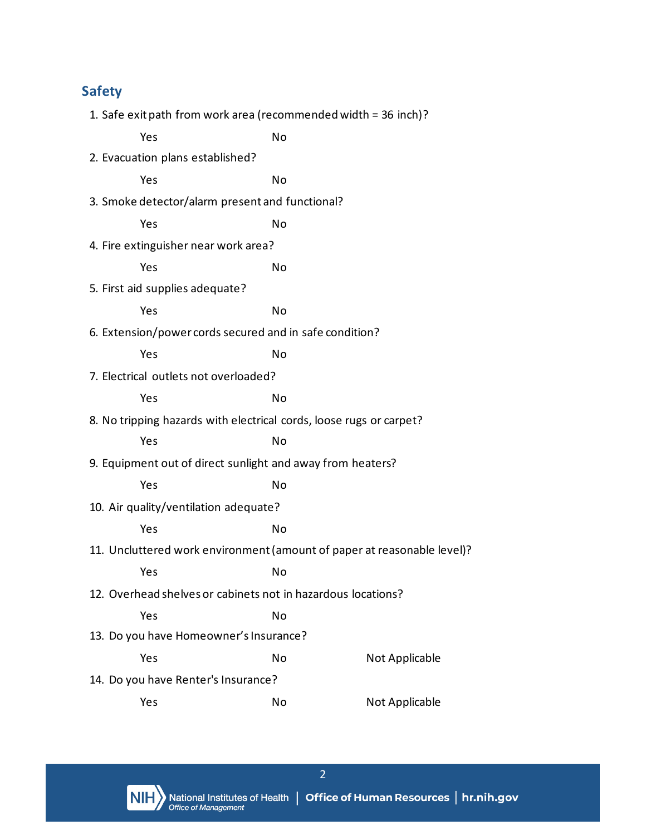## **Safety**

| 1. Safe exit path from work area (recommended width = 36 inch)?         |    |                |  |
|-------------------------------------------------------------------------|----|----------------|--|
| Yes                                                                     | No |                |  |
| 2. Evacuation plans established?                                        |    |                |  |
| Yes                                                                     | No |                |  |
| 3. Smoke detector/alarm present and functional?                         |    |                |  |
| Yes                                                                     | No |                |  |
| 4. Fire extinguisher near work area?                                    |    |                |  |
| Yes                                                                     | No |                |  |
| 5. First aid supplies adequate?                                         |    |                |  |
| Yes                                                                     | No |                |  |
| 6. Extension/power cords secured and in safe condition?                 |    |                |  |
| Yes                                                                     | No |                |  |
| 7. Electrical outlets not overloaded?                                   |    |                |  |
| Yes                                                                     | No |                |  |
| 8. No tripping hazards with electrical cords, loose rugs or carpet?     |    |                |  |
| Yes                                                                     | No |                |  |
| 9. Equipment out of direct sunlight and away from heaters?              |    |                |  |
| Yes                                                                     | No |                |  |
| 10. Air quality/ventilation adequate?                                   |    |                |  |
| Yes                                                                     | No |                |  |
| 11. Uncluttered work environment (amount of paper at reasonable level)? |    |                |  |
| Yes                                                                     | No |                |  |
| 12. Overhead shelves or cabinets not in hazardous locations?            |    |                |  |
| Yes                                                                     | No |                |  |
| 13. Do you have Homeowner's Insurance?                                  |    |                |  |
| Yes                                                                     | No | Not Applicable |  |
| 14. Do you have Renter's Insurance?                                     |    |                |  |
| Yes                                                                     | No | Not Applicable |  |



2